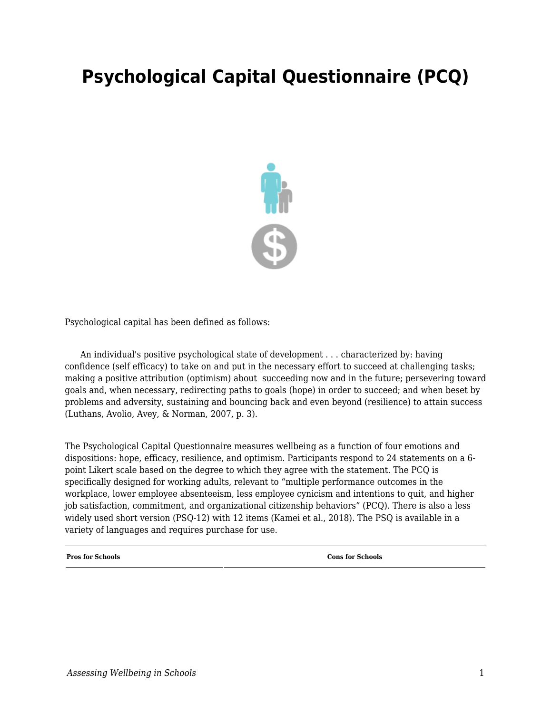## **Psychological Capital Questionnaire (PCQ)**



Psychological capital has been defined as follows:

 An individual's positive psychological state of development . . . characterized by: having confidence (self efficacy) to take on and put in the necessary effort to succeed at challenging tasks; making a positive attribution (optimism) about succeeding now and in the future; persevering toward goals and, when necessary, redirecting paths to goals (hope) in order to succeed; and when beset by problems and adversity, sustaining and bouncing back and even beyond (resilience) to attain success (Luthans, Avolio, Avey, & Norman, 2007, p. 3).

The Psychological Capital Questionnaire measures wellbeing as a function of four emotions and dispositions: hope, efficacy, resilience, and optimism. Participants respond to 24 statements on a 6 point Likert scale based on the degree to which they agree with the statement. The PCQ is specifically designed for working adults, relevant to "multiple performance outcomes in the workplace, lower employee absenteeism, less employee cynicism and intentions to quit, and higher job satisfaction, commitment, and organizational citizenship behaviors" (PCQ). There is also a less widely used short version (PSQ-12) with 12 items (Kamei et al., 2018). The PSQ is available in a variety of languages and requires purchase for use.

**Pros for Schools Constant Constant Constant Constant Constant Constant Constant Constant Constant Constant Constant Constant Constant Constant Constant Constant Constant Constant Constant Constant Constant Constant Cons**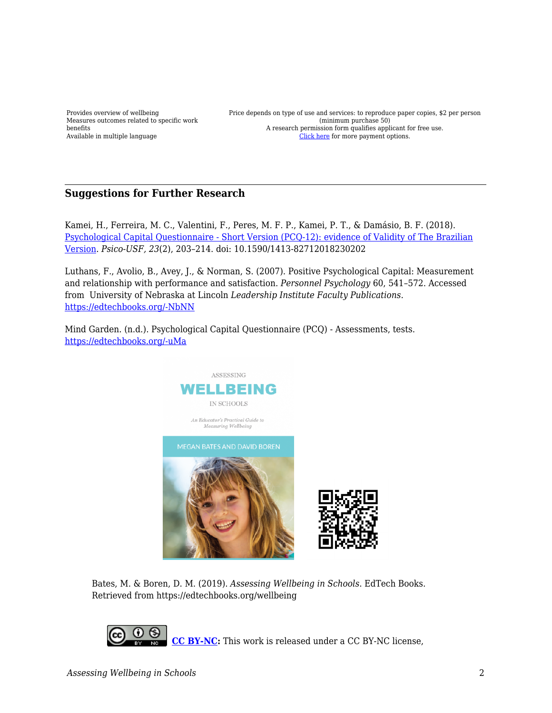Provides overview of wellbeing Measures outcomes related to specific work benefits Available in multiple language

Price depends on type of use and services: to reproduce paper copies, \$2 per person (minimum purchase 50) A research permission form qualifies applicant for free use. [Click here](https://www.mindgarden.com/136-psychological-capital-questionnaire) for more payment options.

## **Suggestions for Further Research**

Kamei, H., Ferreira, M. C., Valentini, F., Peres, M. F. P., Kamei, P. T., & Damásio, B. F. (2018). [Psychological Capital Questionnaire - Short Version \(PCQ-12\): evidence of Validity of The Brazilian](https://www.semanticscholar.org/paper/Psychological-Capital-Questionnaire-Short-Version-Kamei-Ferreira/1d8e90c661f990db3007e9bea290887f3c7139fd) [Version.](https://www.semanticscholar.org/paper/Psychological-Capital-Questionnaire-Short-Version-Kamei-Ferreira/1d8e90c661f990db3007e9bea290887f3c7139fd) *Psico-USF, 23*(2), 203–214. doi: 10.1590/1413-82712018230202

Luthans, F., Avolio, B., Avey, J., & Norman, S. (2007). Positive Psychological Capital: Measurement and relationship with performance and satisfaction. *Personnel Psychology* 60, 541–572. Accessed from University of Nebraska at Lincoln *Leadership Institute Faculty Publications.* [https://edtechbooks.org/-NbNN](http://digitalcommons.unl.edu/leadershipfacpub/11) 

Mind Garden. (n.d.). Psychological Capital Questionnaire (PCQ) - Assessments, tests. [https://edtechbooks.org/-uMa](https://www.mindgarden.com/136-psychological-capital-questionnaire) 



Bates, M. & Boren, D. M. (2019). *Assessing Wellbeing in Schools*. EdTech Books. Retrieved from https://edtechbooks.org/wellbeing